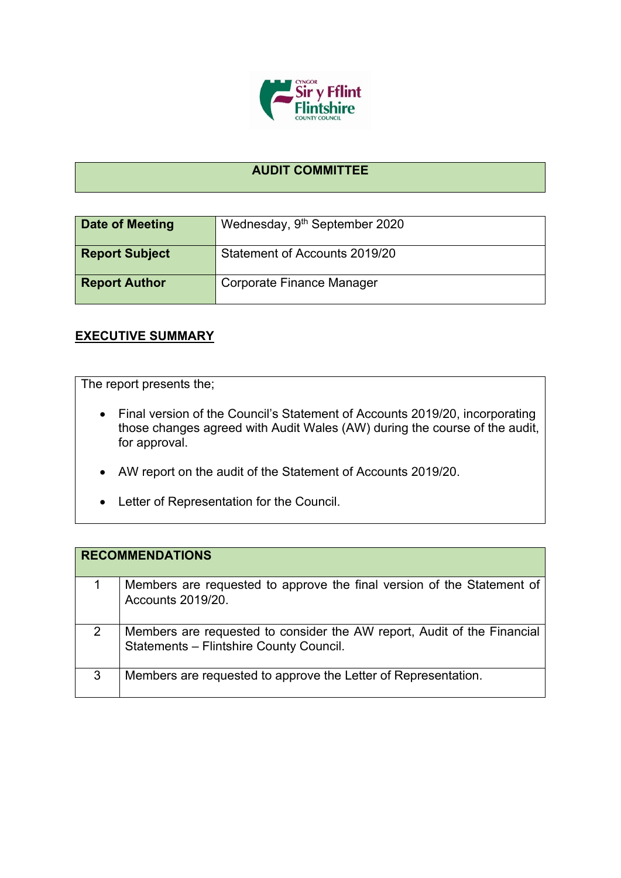

## **AUDIT COMMITTEE**

| <b>Date of Meeting</b> | Wednesday, 9 <sup>th</sup> September 2020 |
|------------------------|-------------------------------------------|
| <b>Report Subject</b>  | Statement of Accounts 2019/20             |
| <b>Report Author</b>   | Corporate Finance Manager                 |

## **EXECUTIVE SUMMARY**

The report presents the;

- Final version of the Council's Statement of Accounts 2019/20, incorporating those changes agreed with Audit Wales (AW) during the course of the audit, for approval.
- AW report on the audit of the Statement of Accounts 2019/20.
- Letter of Representation for the Council.

|   | <b>RECOMMENDATIONS</b>                                                                                             |
|---|--------------------------------------------------------------------------------------------------------------------|
|   | Members are requested to approve the final version of the Statement of<br><b>Accounts 2019/20.</b>                 |
| 2 | Members are requested to consider the AW report, Audit of the Financial<br>Statements - Flintshire County Council. |
| 3 | Members are requested to approve the Letter of Representation.                                                     |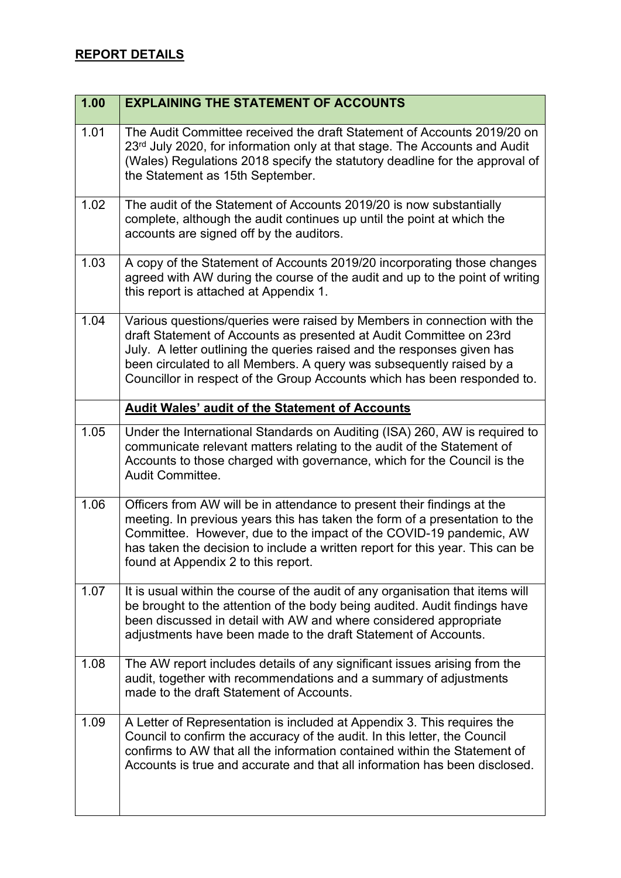| 1.00 | <b>EXPLAINING THE STATEMENT OF ACCOUNTS</b>                                                                                                                                                                                                                                                                                                                                   |
|------|-------------------------------------------------------------------------------------------------------------------------------------------------------------------------------------------------------------------------------------------------------------------------------------------------------------------------------------------------------------------------------|
| 1.01 | The Audit Committee received the draft Statement of Accounts 2019/20 on<br>23rd July 2020, for information only at that stage. The Accounts and Audit<br>(Wales) Regulations 2018 specify the statutory deadline for the approval of<br>the Statement as 15th September.                                                                                                      |
| 1.02 | The audit of the Statement of Accounts 2019/20 is now substantially<br>complete, although the audit continues up until the point at which the<br>accounts are signed off by the auditors.                                                                                                                                                                                     |
| 1.03 | A copy of the Statement of Accounts 2019/20 incorporating those changes<br>agreed with AW during the course of the audit and up to the point of writing<br>this report is attached at Appendix 1.                                                                                                                                                                             |
| 1.04 | Various questions/queries were raised by Members in connection with the<br>draft Statement of Accounts as presented at Audit Committee on 23rd<br>July. A letter outlining the queries raised and the responses given has<br>been circulated to all Members. A query was subsequently raised by a<br>Councillor in respect of the Group Accounts which has been responded to. |
|      | <b>Audit Wales' audit of the Statement of Accounts</b>                                                                                                                                                                                                                                                                                                                        |
| 1.05 | Under the International Standards on Auditing (ISA) 260, AW is required to<br>communicate relevant matters relating to the audit of the Statement of<br>Accounts to those charged with governance, which for the Council is the<br>Audit Committee.                                                                                                                           |
| 1.06 | Officers from AW will be in attendance to present their findings at the<br>meeting. In previous years this has taken the form of a presentation to the<br>Committee. However, due to the impact of the COVID-19 pandemic, AW<br>has taken the decision to include a written report for this year. This can be<br>found at Appendix 2 to this report.                          |
| 1.07 | It is usual within the course of the audit of any organisation that items will<br>be brought to the attention of the body being audited. Audit findings have<br>been discussed in detail with AW and where considered appropriate<br>adjustments have been made to the draft Statement of Accounts.                                                                           |
| 1.08 | The AW report includes details of any significant issues arising from the<br>audit, together with recommendations and a summary of adjustments<br>made to the draft Statement of Accounts.                                                                                                                                                                                    |
| 1.09 | A Letter of Representation is included at Appendix 3. This requires the<br>Council to confirm the accuracy of the audit. In this letter, the Council<br>confirms to AW that all the information contained within the Statement of<br>Accounts is true and accurate and that all information has been disclosed.                                                               |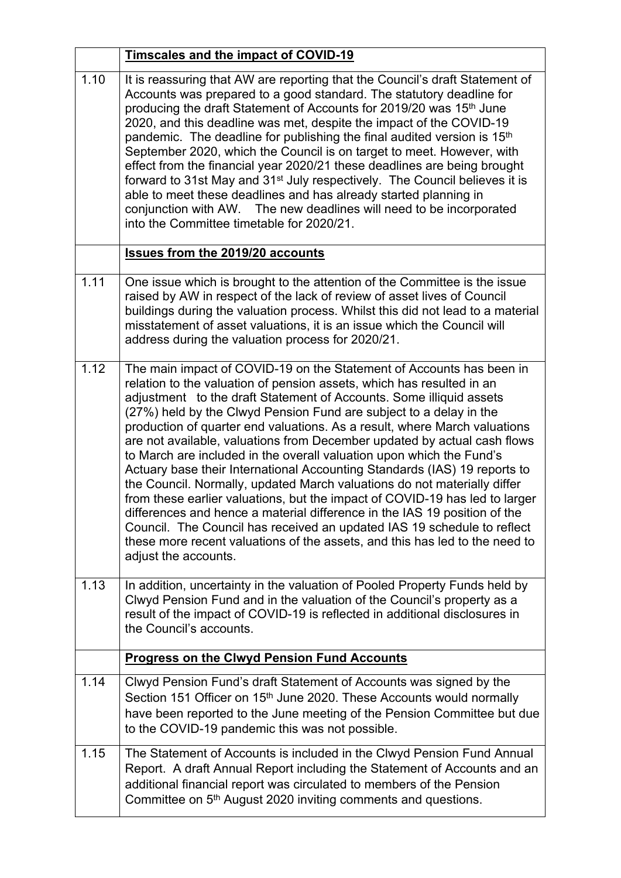|      | <b>Timscales and the impact of COVID-19</b>                                                                                                                                                                                                                                                                                                                                                                                                                                                                                                                                                                                                                                                                                                                                                                                                                                                                                                                                                                                        |
|------|------------------------------------------------------------------------------------------------------------------------------------------------------------------------------------------------------------------------------------------------------------------------------------------------------------------------------------------------------------------------------------------------------------------------------------------------------------------------------------------------------------------------------------------------------------------------------------------------------------------------------------------------------------------------------------------------------------------------------------------------------------------------------------------------------------------------------------------------------------------------------------------------------------------------------------------------------------------------------------------------------------------------------------|
| 1.10 | It is reassuring that AW are reporting that the Council's draft Statement of<br>Accounts was prepared to a good standard. The statutory deadline for<br>producing the draft Statement of Accounts for 2019/20 was 15 <sup>th</sup> June<br>2020, and this deadline was met, despite the impact of the COVID-19<br>pandemic. The deadline for publishing the final audited version is 15 <sup>th</sup><br>September 2020, which the Council is on target to meet. However, with<br>effect from the financial year 2020/21 these deadlines are being brought<br>forward to 31st May and 31 <sup>st</sup> July respectively. The Council believes it is<br>able to meet these deadlines and has already started planning in<br>conjunction with AW. The new deadlines will need to be incorporated<br>into the Committee timetable for 2020/21.                                                                                                                                                                                       |
|      | <b>Issues from the 2019/20 accounts</b>                                                                                                                                                                                                                                                                                                                                                                                                                                                                                                                                                                                                                                                                                                                                                                                                                                                                                                                                                                                            |
| 1.11 | One issue which is brought to the attention of the Committee is the issue<br>raised by AW in respect of the lack of review of asset lives of Council<br>buildings during the valuation process. Whilst this did not lead to a material<br>misstatement of asset valuations, it is an issue which the Council will<br>address during the valuation process for 2020/21.                                                                                                                                                                                                                                                                                                                                                                                                                                                                                                                                                                                                                                                             |
| 1.12 | The main impact of COVID-19 on the Statement of Accounts has been in<br>relation to the valuation of pension assets, which has resulted in an<br>adjustment to the draft Statement of Accounts. Some illiquid assets<br>(27%) held by the Clwyd Pension Fund are subject to a delay in the<br>production of quarter end valuations. As a result, where March valuations<br>are not available, valuations from December updated by actual cash flows<br>to March are included in the overall valuation upon which the Fund's<br>Actuary base their International Accounting Standards (IAS) 19 reports to<br>the Council. Normally, updated March valuations do not materially differ<br>from these earlier valuations, but the impact of COVID-19 has led to larger<br>differences and hence a material difference in the IAS 19 position of the<br>Council. The Council has received an updated IAS 19 schedule to reflect<br>these more recent valuations of the assets, and this has led to the need to<br>adjust the accounts. |
| 1.13 | In addition, uncertainty in the valuation of Pooled Property Funds held by<br>Clwyd Pension Fund and in the valuation of the Council's property as a<br>result of the impact of COVID-19 is reflected in additional disclosures in<br>the Council's accounts.                                                                                                                                                                                                                                                                                                                                                                                                                                                                                                                                                                                                                                                                                                                                                                      |
|      | <b>Progress on the Clwyd Pension Fund Accounts</b>                                                                                                                                                                                                                                                                                                                                                                                                                                                                                                                                                                                                                                                                                                                                                                                                                                                                                                                                                                                 |
| 1.14 | Clwyd Pension Fund's draft Statement of Accounts was signed by the<br>Section 151 Officer on 15 <sup>th</sup> June 2020. These Accounts would normally<br>have been reported to the June meeting of the Pension Committee but due<br>to the COVID-19 pandemic this was not possible.                                                                                                                                                                                                                                                                                                                                                                                                                                                                                                                                                                                                                                                                                                                                               |
| 1.15 | The Statement of Accounts is included in the Clwyd Pension Fund Annual<br>Report. A draft Annual Report including the Statement of Accounts and an<br>additional financial report was circulated to members of the Pension<br>Committee on 5 <sup>th</sup> August 2020 inviting comments and questions.                                                                                                                                                                                                                                                                                                                                                                                                                                                                                                                                                                                                                                                                                                                            |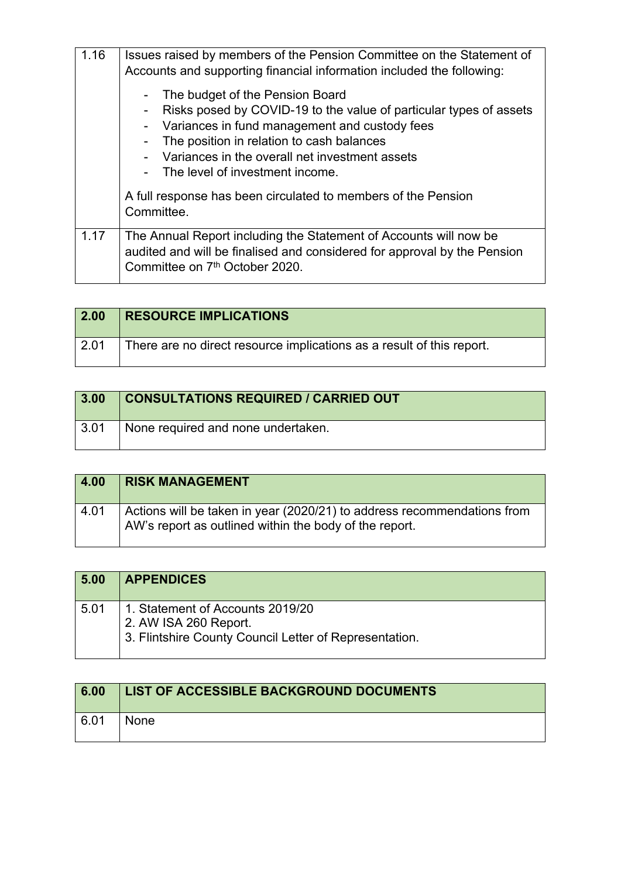| 1.16 | Issues raised by members of the Pension Committee on the Statement of<br>Accounts and supporting financial information included the following:                                                                                                                                           |
|------|------------------------------------------------------------------------------------------------------------------------------------------------------------------------------------------------------------------------------------------------------------------------------------------|
|      | The budget of the Pension Board<br>Risks posed by COVID-19 to the value of particular types of assets<br>Variances in fund management and custody fees<br>The position in relation to cash balances<br>Variances in the overall net investment assets<br>The level of investment income. |
|      | A full response has been circulated to members of the Pension<br>Committee.                                                                                                                                                                                                              |
| 1.17 | The Annual Report including the Statement of Accounts will now be<br>audited and will be finalised and considered for approval by the Pension<br>Committee on 7th October 2020.                                                                                                          |

| $\vert$ 2.00    | <b>RESOURCE IMPLICATIONS</b>                                          |
|-----------------|-----------------------------------------------------------------------|
| $^{\circ}$ 2.01 | There are no direct resource implications as a result of this report. |

| 3.00 | <b>CONSULTATIONS REQUIRED / CARRIED OUT</b> |
|------|---------------------------------------------|
| 3.01 | None required and none undertaken.          |

| 4.00 | <b>RISK MANAGEMENT</b>                                                                                                            |
|------|-----------------------------------------------------------------------------------------------------------------------------------|
| 4.01 | Actions will be taken in year (2020/21) to address recommendations from<br>AW's report as outlined within the body of the report. |

| 5.00 | <b>APPENDICES</b>                                                                                                   |
|------|---------------------------------------------------------------------------------------------------------------------|
| 5.01 | 1. Statement of Accounts 2019/20<br>2. AW ISA 260 Report.<br>3. Flintshire County Council Letter of Representation. |

| 6.00 | LIST OF ACCESSIBLE BACKGROUND DOCUMENTS |
|------|-----------------------------------------|
| 6.01 | None                                    |